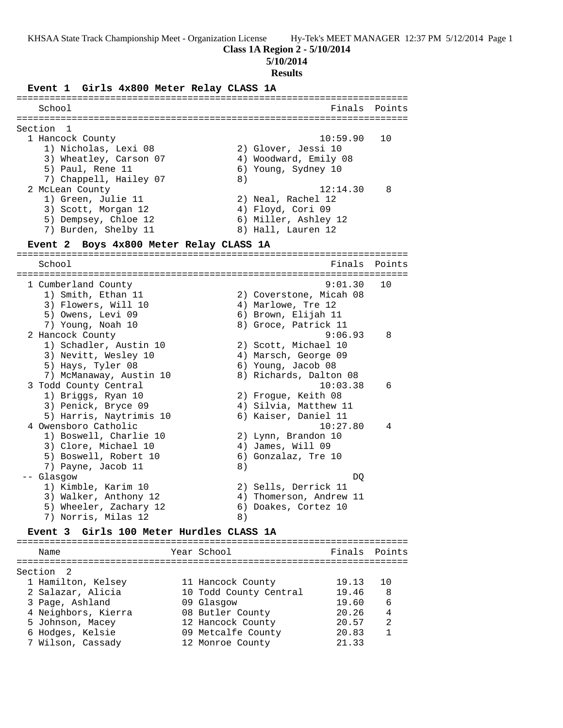### **Class 1A Region 2 - 5/10/2014**

**5/10/2014**

#### **Results**

**Event 1 Girls 4x800 Meter Relay CLASS 1A** ======================================================================= School **Finals** Points ======================================================================= Section 1<br>1 Hancock County 1 Hancock County 10:59.90 10 1) Nicholas, Lexi 08 2) Glover, Jessi 10 3) Wheatley, Carson 07 4) Woodward, Emily 08 5) Paul, Rene 11 6) Young, Sydney 10 7) Chappell, Hailey 07 8) 2 McLean County 12:14.30 8 1) Green, Julie 11 2) Neal, Rachel 12 3) Scott, Morgan 12 (4) Floyd, Cori 09 5) Dempsey, Chloe 12 (6) Miller, Ashley 12 7) Burden, Shelby 11 8) Hall, Lauren 12 **Event 2 Boys 4x800 Meter Relay CLASS 1A** ======================================================================= School Finals Points ======================================================================= 1 Cumberland County 9:01.30 10 1) Smith, Ethan 11 2) Coverstone, Micah 08 3) Flowers, Will 10 4) Marlowe, Tre 12 5) Owens, Levi 09 6) Brown, Elijah 11 7) Young, Noah 10 8) Groce, Patrick 11 2 Hancock County 9:06.93 8 1) Schadler, Austin 10 (2) Scott, Michael 10 3) Nevitt, Wesley 10 (4) Marsch, George 09 5) Hays, Tyler 08 6) Young, Jacob 08 7) McManaway, Austin 10 8) Richards, Dalton 08 3 Todd County Central 10:03.38 6 1) Briggs, Ryan 10 2) Frogue, Keith 08 3) Penick, Bryce 09  $\hskip1cm \hskip 4.5 cm 4$ ) Silvia, Matthew 11 5) Harris, Naytrimis 10 6) Kaiser, Daniel 11 4 Owensboro Catholic 10:27.80 4 1) Boswell, Charlie 10 2) Lynn, Brandon 10 3) Clore, Michael 10 4) James, Will 09 5) Boswell, Robert 10 (6) Gonzalaz, Tre 10 7) Payne, Jacob 11 8) -- Glasgow DQ 1) Kimble, Karim 10 2) Sells, Derrick 11 3) Walker, Anthony 12 4) Thomerson, Andrew 11 5) Wheeler, Zachary 12 (6) Doakes, Cortez 10 7) Norris, Milas 12 (8) **Event 3 Girls 100 Meter Hurdles CLASS 1A** ======================================================================= Name **Name** Year School **Finals Points** ======================================================================= Section 2 1 Hamilton, Kelsey 11 Hancock County 19.13 10 2 Salazar, Alicia 10 Todd County Central 19.46 8 3 Page, Ashland 09 Glasgow 19.60 6 4 Neighbors, Kierra 08 Butler County 20.26 4 5 Johnson, Macey 12 Hancock County 20.57 2 6 Hodges, Kelsie 09 Metcalfe County 20.83 1

7 Wilson, Cassady 12 Monroe County 21.33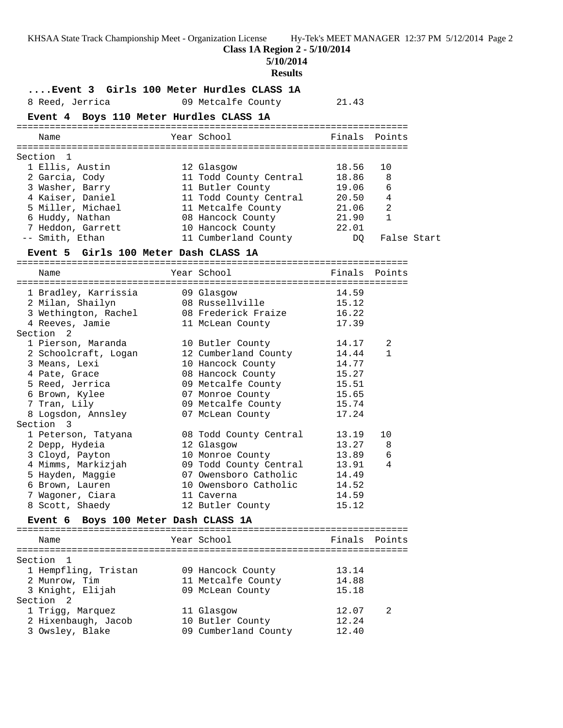**Class 1A Region 2 - 5/10/2014**

**5/10/2014**

# **Results**

| 8 Reed, Jerrica                            | Event 3 Girls 100 Meter Hurdles CLASS 1A<br>09 Metcalfe County | 21.43         |                |             |
|--------------------------------------------|----------------------------------------------------------------|---------------|----------------|-------------|
| Event 4 Boys 110 Meter Hurdles CLASS 1A    |                                                                |               |                |             |
| Name                                       | Year School                                                    | Finals Points |                |             |
|                                            |                                                                |               |                |             |
| Section<br>$\mathbf{1}$<br>1 Ellis, Austin | 12 Glasgow                                                     | 18.56         | 10             |             |
| 2 Garcia, Cody                             | 11 Todd County Central                                         | 18.86         | 8              |             |
| 3 Washer, Barry                            | 11 Butler County                                               | 19.06         | 6              |             |
| 4 Kaiser, Daniel                           | 11 Todd County Central                                         | 20.50         | 4              |             |
| 5 Miller, Michael                          | 11 Metcalfe County                                             | 21.06         | $\overline{2}$ |             |
| 6 Huddy, Nathan                            | 08 Hancock County                                              | 21.90         | $\mathbf{1}$   |             |
| 7 Heddon, Garrett                          | 10 Hancock County                                              | 22.01         |                |             |
| -- Smith, Ethan                            | 11 Cumberland County                                           | DQ            |                | False Start |
| Event 5 Girls 100 Meter Dash CLASS 1A      |                                                                |               |                |             |
|                                            |                                                                |               |                |             |
| Name                                       | Year School                                                    | Finals Points |                |             |
| 1 Bradley, Karrissia                       | 09 Glasgow                                                     | 14.59         |                |             |
| 2 Milan, Shailyn                           | 08 Russellville                                                | 15.12         |                |             |
| 3 Wethington, Rachel                       | 08 Frederick Fraize                                            | 16.22         |                |             |
| 4 Reeves, Jamie                            | 11 McLean County                                               | 17.39         |                |             |
| Section 2                                  |                                                                |               |                |             |
| 1 Pierson, Maranda                         | 10 Butler County                                               | 14.17         | 2              |             |
| 2 Schoolcraft, Logan                       | 12 Cumberland County                                           | 14.44         | $\mathbf{1}$   |             |
| 3 Means, Lexi                              | 10 Hancock County                                              | 14.77         |                |             |
| 4 Pate, Grace                              | 08 Hancock County                                              | 15.27         |                |             |
| 5 Reed, Jerrica                            | 09 Metcalfe County                                             | 15.51         |                |             |
| 6 Brown, Kylee                             | 07 Monroe County                                               | 15.65         |                |             |
| 7 Tran, Lily                               | 09 Metcalfe County                                             | 15.74         |                |             |
| 8 Logsdon, Annsley                         | 07 McLean County                                               | 17.24         |                |             |
| Section 3                                  |                                                                |               |                |             |
| 1 Peterson, Tatyana                        | 08 Todd County Central                                         | 13.19         | 10             |             |
| 2 Depp, Hydeia                             | 12 Glasgow                                                     | 13.27         | 8              |             |
| 3 Cloyd, Payton                            | 10 Monroe County                                               | 13.89         | 6              |             |
| 4 Mimms, Markizjah                         | 09 Todd County Central                                         | 13.91         | 4              |             |
| 5 Hayden, Maggie                           | 07 Owensboro Catholic                                          | 14.49         |                |             |
| 6 Brown, Lauren                            | 10 Owensboro Catholic                                          | 14.52         |                |             |
| 7 Wagoner, Ciara                           | 11 Caverna                                                     | 14.59         |                |             |
| 8 Scott, Shaedy                            | 12 Butler County                                               | 15.12         |                |             |
| Event 6                                    | Boys 100 Meter Dash CLASS 1A                                   |               |                |             |
| Name                                       | Year School                                                    | Finals Points |                |             |
|                                            |                                                                |               |                |             |
| Section<br>1                               |                                                                |               |                |             |
| 1 Hempfling, Tristan                       | 09 Hancock County                                              | 13.14         |                |             |
| 2 Munrow, Tim                              | 11 Metcalfe County                                             | 14.88         |                |             |
| 3 Knight, Elijah                           | 09 McLean County                                               | 15.18         |                |             |
| Section 2                                  |                                                                |               |                |             |
| 1 Trigg, Marquez                           | 11 Glasgow                                                     | 12.07         | 2              |             |
| 2 Hixenbaugh, Jacob                        | 10 Butler County                                               | 12.24         |                |             |
| 3 Owsley, Blake                            | 09 Cumberland County                                           | 12.40         |                |             |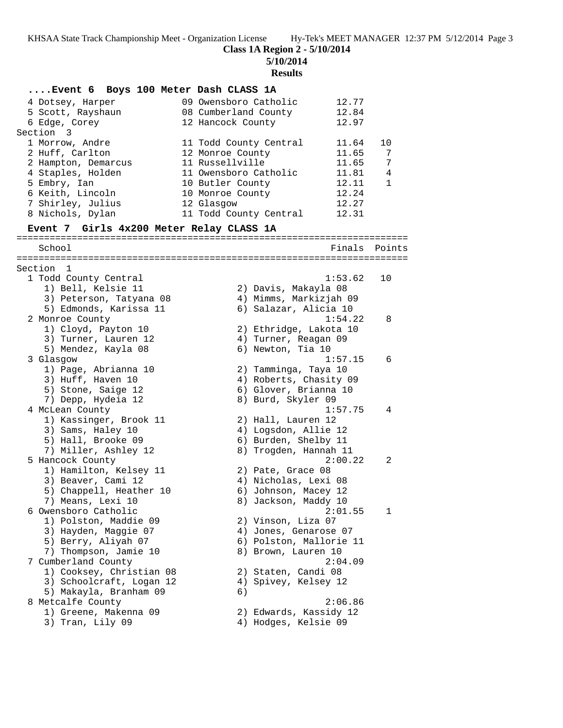**Class 1A Region 2 - 5/10/2014**

**5/10/2014**

#### **Results**

**....Event 6 Boys 100 Meter Dash CLASS 1A** 4 Dotsey, Harper 09 Owensboro Catholic 12.77 5 Scott, Rayshaun 08 Cumberland County 12.84 6 Edge, Corey 12 Hancock County 12.97 Section 3 1 Morrow, Andre 11 Todd County Central 11.64 10 2 Huff, Carlton 12 Monroe County 11.65 7 2 Hampton, Demarcus 11 Russellville 11.65 7 4 Staples, Holden 11 Owensboro Catholic 11.81 4 5 Embry, Ian 10 Butler County 12.11 1 6 Keith, Lincoln 10 Monroe County 12.24 7 Shirley, Julius 12 Glasgow 12.27 8 Nichols, Dylan 11 Todd County Central 12.31 **Event 7 Girls 4x200 Meter Relay CLASS 1A** ======================================================================= School **Finals** Points ======================================================================= Section 1 1 Todd County Central 1:53.62 10 1) Bell, Kelsie 11 2) Davis, Makayla 08 3) Peterson, Tatyana 08 4) Mimms, Markizjah 09 5) Edmonds, Karissa 11 6) Salazar, Alicia 10 2 Monroe County 1:54.22 8 1) Cloyd, Payton 10 2) Ethridge, Lakota 10 3) Turner, Lauren 12 (and Allah Turner, Reagan 09 5) Mendez, Kayla 08 6) Newton, Tia 10 3 Glasgow 1:57.15 6 1) Page, Abrianna 10 2) Tamminga, Taya 10 3) Huff, Haven 10 4) Roberts, Chasity 09 5) Stone, Saige 12 6) Glover, Brianna 10 7) Depp, Hydeia 12 8) Burd, Skyler 09 4 McLean County 1:57.75 4 1) Kassinger, Brook 11 2) Hall, Lauren 12 3) Sams, Haley 10 (4) Logsdon, Allie 12 5) Hall, Brooke 09 6) Burden, Shelby 11 7) Miller, Ashley 12 8) Trogden, Hannah 11 5 Hancock County 2:00.22 2 1) Hamilton, Kelsey 11 and 2) Pate, Grace 08 3) Beaver, Cami 12 (4) Nicholas, Lexi 08 5) Chappell, Heather 10 6) Johnson, Macey 12 7) Means, Lexi 10 8) Jackson, Maddy 10 6 Owensboro Catholic 2:01.55 1 1) Polston, Maddie 09 2) Vinson, Liza 07 3) Hayden, Maggie 07 4) Jones, Genarose 07 5) Berry, Aliyah 07 6) Polston, Mallorie 11 7) Thompson, Jamie 10 (8) Brown, Lauren 10 7 Cumberland County 2:04.09 1) Cooksey, Christian 08 2) Staten, Candi 08 3) Schoolcraft, Logan 12 (4) Spivey, Kelsey 12 5) Makayla, Branham 09 (6) 8 Metcalfe County 2:06.86 1) Greene, Makenna 09 2) Edwards, Kassidy 12 3) Tran, Lily 09 4) Hodges, Kelsie 09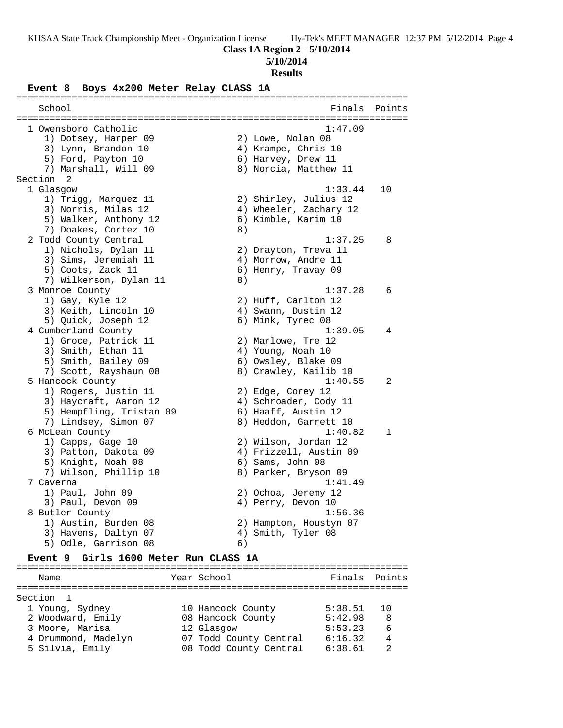**5/10/2014**

### **Results**

# **Event 8 Boys 4x200 Meter Relay CLASS 1A**

| School                   |    | Finals                 | Points       |
|--------------------------|----|------------------------|--------------|
| 1 Owensboro Catholic     |    | 1:47.09                |              |
| 1) Dotsey, Harper 09     |    | 2) Lowe, Nolan 08      |              |
| 3) Lynn, Brandon 10      |    | 4) Krampe, Chris 10    |              |
| 5) Ford, Payton 10       |    | 6) Harvey, Drew 11     |              |
| 7) Marshall, Will 09     |    | 8) Norcia, Matthew 11  |              |
| Section 2                |    |                        |              |
| 1 Glasgow                |    | 1:33.44                | 10           |
| 1) Trigg, Marquez 11     |    | 2) Shirley, Julius 12  |              |
| 3) Norris, Milas 12      |    | 4) Wheeler, Zachary 12 |              |
| 5) Walker, Anthony 12    |    | 6) Kimble, Karim 10    |              |
| 7) Doakes, Cortez 10     | 8) |                        |              |
| 2 Todd County Central    |    | 1:37.25                | 8            |
| 1) Nichols, Dylan 11     |    | 2) Drayton, Treva 11   |              |
| 3) Sims, Jeremiah 11     |    | 4) Morrow, Andre 11    |              |
| 5) Coots, Zack 11        |    | 6) Henry, Travay 09    |              |
| 7) Wilkerson, Dylan 11   | 8) |                        |              |
| 3 Monroe County          |    | 1:37.28                | 6            |
| 1) Gay, Kyle 12          |    | 2) Huff, Carlton 12    |              |
| 3) Keith, Lincoln 10     |    | 4) Swann, Dustin 12    |              |
| 5) Quick, Joseph 12      |    | 6) Mink, Tyrec 08      |              |
| 4 Cumberland County      |    | 1:39.05                | 4            |
| 1) Groce, Patrick 11     |    | 2) Marlowe, Tre 12     |              |
| 3) Smith, Ethan 11       |    | 4) Young, Noah 10      |              |
| 5) Smith, Bailey 09      |    | 6) Owsley, Blake 09    |              |
| 7) Scott, Rayshaun 08    |    | 8) Crawley, Kailib 10  |              |
| 5 Hancock County         |    | 1:40.55                | 2            |
| 1) Rogers, Justin 11     |    | 2) Edge, Corey 12      |              |
| 3) Haycraft, Aaron 12    |    | 4) Schroader, Cody 11  |              |
| 5) Hempfling, Tristan 09 |    | 6) Haaff, Austin 12    |              |
| 7) Lindsey, Simon 07     |    | 8) Heddon, Garrett 10  |              |
| 6 McLean County          |    | 1:40.82                | $\mathbf{1}$ |
| 1) Capps, Gage 10        |    | 2) Wilson, Jordan 12   |              |
| 3) Patton, Dakota 09     |    | 4) Frizzell, Austin 09 |              |
| 5) Knight, Noah 08       |    | 6) Sams, John 08       |              |
| 7) Wilson, Phillip 10    |    | 8) Parker, Bryson 09   |              |
| 7 Caverna                |    | 1:41.49                |              |
| 1) Paul, John 09         |    | 2) Ochoa, Jeremy 12    |              |
| 3) Paul, Devon 09        |    | 4) Perry, Devon 10     |              |
| 8 Butler County          |    | 1:56.36                |              |
| 1) Austin, Burden 08     |    | 2) Hampton, Houstyn 07 |              |
| 3) Havens, Daltyn 07     |    | 4) Smith, Tyler 08     |              |
| 5) Odle, Garrison 08     | 6) |                        |              |

### **Event 9 Girls 1600 Meter Run CLASS 1A**

| Name                 | Year School            | Finals  | Points |
|----------------------|------------------------|---------|--------|
|                      |                        |         |        |
| Section <sub>1</sub> |                        |         |        |
| 1 Young, Sydney      | 10 Hancock County      | 5:38.51 |        |
| 2 Woodward, Emily    | 08 Hancock County      | 5:42.98 | 8      |
| 3 Moore, Marisa      | 12 Glasgow             | 5:53.23 | 6      |
| 4 Drummond, Madelyn  | 07 Todd County Central | 6:16.32 | 4      |
| 5 Silvia, Emily      | 08 Todd County Central | 6:38.61 | っ      |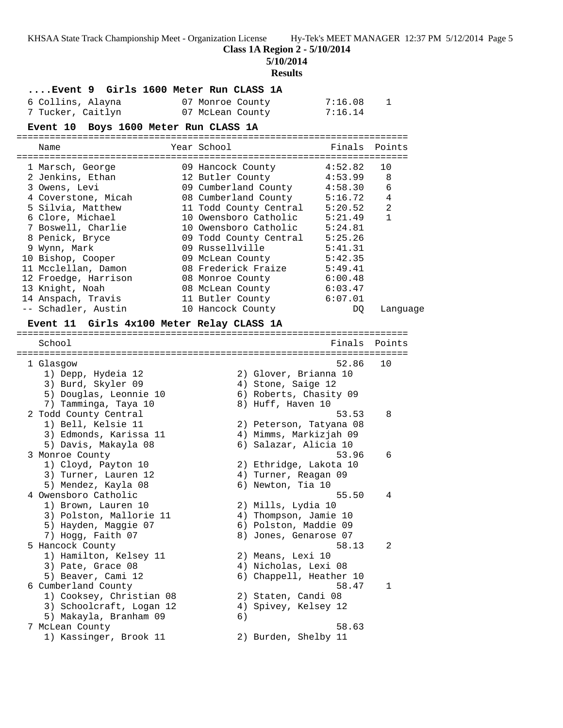**5/10/2014**

#### **Results**

|  |  |  |  |  | Event 9 Girls 1600 Meter Run CLASS 1A |  |  |  |
|--|--|--|--|--|---------------------------------------|--|--|--|
|--|--|--|--|--|---------------------------------------|--|--|--|

| 6 Collins, Alayna | 07 Monroe County | 7:16.08 |
|-------------------|------------------|---------|
| 7 Tucker, Caitlyn | 07 McLean County | 7:16.14 |

# **Event 10 Boys 1600 Meter Run CLASS 1A**

|                                           |                                | =========================== |                |
|-------------------------------------------|--------------------------------|-----------------------------|----------------|
| Name                                      | Year School                    | Finals Points               |                |
|                                           |                                |                             |                |
| 1 Marsch, George                          | 09 Hancock County 4:52.82      |                             | 10             |
| 2 Jenkins, Ethan                          | 12 Butler County               | 4:53.99                     | 8              |
| 3 Owens, Levi                             | 09 Cumberland County 4:58.30   |                             | 6              |
| 4 Coverstone, Micah                       | 08 Cumberland County 5:16.72   |                             | $\overline{4}$ |
| 5 Silvia, Matthew                         | 11 Todd County Central 5:20.52 |                             | $\overline{2}$ |
| 6 Clore, Michael                          | 10 Owensboro Catholic 5:21.49  |                             | $\mathbf{1}$   |
| 7 Boswell, Charlie                        | 10 Owensboro Catholic 5:24.81  |                             |                |
| 8 Penick, Bryce                           | 09 Todd County Central 5:25.26 |                             |                |
| 9 Wynn, Mark                              | 09 Russellville                | 5:41.31                     |                |
| 10 Bishop, Cooper                         | 09 McLean County 5:42.35       |                             |                |
| 11 Mcclellan, Damon                       | 08 Frederick Fraize 5:49.41    |                             |                |
| 12 Froedge, Harrison                      | 08 Monroe County               | 6:00.48                     |                |
| 13 Knight, Noah                           | 08 McLean County 6:03.47       |                             |                |
| 14 Anspach, Travis                        | 11 Butler County               | 6:07.01                     |                |
| -- Schadler, Austin                       | 10 Hancock County              | DO.                         | Language       |
| Event 11 Girls 4x100 Meter Relay CLASS 1A |                                |                             |                |
|                                           | ============                   |                             |                |
| School                                    |                                | Finals                      | Points         |
|                                           |                                |                             |                |
| 1 Glasgow                                 |                                | 52.86                       | 10             |
| 1) Depp, Hydeia 12                        | 2) Glover, Brianna 10          |                             |                |
| 3) Burd, Skyler 09                        | 4) Stone, Saige 12             |                             |                |
| 5) Douglas, Leonnie 10                    | 6) Roberts, Chasity 09         |                             |                |
| 7) Tamminga, Taya 10                      | 8) Huff, Haven 10              |                             |                |
| 2 Todd County Central                     |                                | 53.53                       | 8              |
| 1) Bell, Kelsie 11                        | 2) Peterson, Tatyana 08        |                             |                |

 3) Edmonds, Karissa 11 4) Mimms, Markizjah 09 5) Davis, Makayla 08 6) Salazar, Alicia 10

 1) Cloyd, Payton 10 2) Ethridge, Lakota 10 3) Turner, Lauren 12 (and Allah Turner, Reagan 09 5) Mendez, Kayla 08 6) Newton, Tia 10

 1) Brown, Lauren 10 2) Mills, Lydia 10 3) Polston, Mallorie 11 4) Thompson, Jamie 10 5) Hayden, Maggie 07 6) Polston, Maddie 09 7) Hogg, Faith 07 8) Jones, Genarose 07

 1) Hamilton, Kelsey 11 2) Means, Lexi 10 3) Pate, Grace 08 4) Nicholas, Lexi 08 5) Beaver, Cami 12 6) Chappell, Heather 10 6 Cumberland County 58.47 1

 1) Cooksey, Christian 08 2) Staten, Candi 08 3) Schoolcraft, Logan 12 4) Spivey, Kelsey 12

5) Makayla, Branham 09 (6)<br>
7 McLean County (58.63) 1) Kassinger, Brook 11 2) Burden, Shelby 11

5) Makayla, Branham 09 (6)

3 Monroe County 53.96 6

4 Owensboro Catholic 55.50 4

5 Hancock County 58.13 2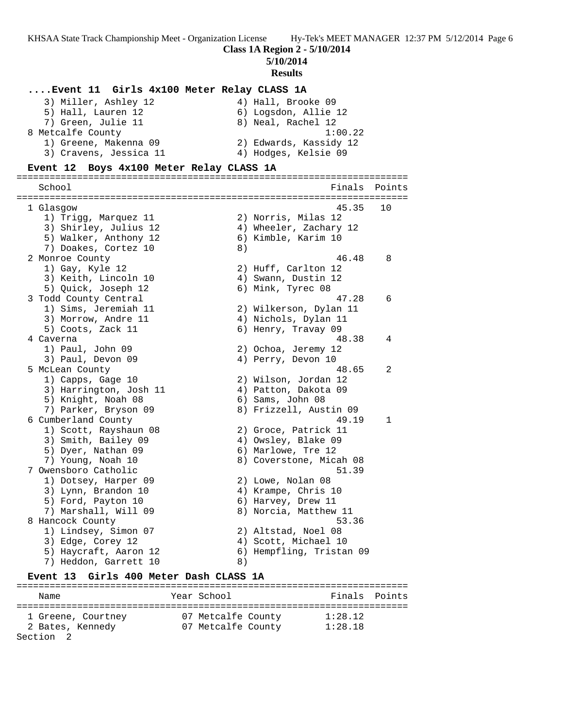**5/10/2014**

### **Results**

**....Event 11 Girls 4x100 Meter Relay CLASS 1A** 3) Miller, Ashley 12 (4) Hall, Brooke 09 5) Hall, Lauren 12 6) Logsdon, Allie 12 7) Green, Julie 11 and 8) Neal, Rachel 12 8 Metcalfe County 1:00.22 1) Greene, Makenna 09 2) Edwards, Kassidy 12 3) Cravens, Jessica 11 (a) 4) Hodges, Kelsie 09 **Event 12 Boys 4x100 Meter Relay CLASS 1A** ======================================================================= Finals Points ======================================================================= 1 Glasgow 45.35 10 1) Trigg, Marquez 11 2) Norris, Milas 12 3) Shirley, Julius 12 4) Wheeler, Zachary 12 5) Walker, Anthony 12 (6) Kimble, Karim 10 7) Doakes, Cortez 10 (8) 2 Monroe County 46.48 8 1) Gay, Kyle 12 2) Huff, Carlton 12 3) Keith, Lincoln 10 4) Swann, Dustin 12 5) Quick, Joseph 12 6) Mink, Tyrec 08 3 Todd County Central 47.28 6 1) Sims, Jeremiah 11 2) Wilkerson, Dylan 11 3) Morrow, Andre 11 4) Nichols, Dylan 11 5) Coots, Zack 11 6) Henry, Travay 09 4 Caverna 48.38 4 1) Paul, John 09 2) Ochoa, Jeremy 12 3) Paul, Devon 09 (4) Perry, Devon 10 5 McLean County 48.65 2 1) Capps, Gage 10 2) Wilson, Jordan 12 3) Harrington, Josh 11 (4) Patton, Dakota 09 5) Knight, Noah 08 6) Sams, John 08 7) Parker, Bryson 09 8) Frizzell, Austin 09 6 Cumberland County 49.19 1 1) Scott, Rayshaun 08 2) Groce, Patrick 11 3) Smith, Bailey 09 4) Owsley, Blake 09 5) Dyer, Nathan 09 6) Marlowe, Tre 12 7) Young, Noah 10 8) Coverstone, Micah 08 7 Owensboro Catholic 51.39 1) Dotsey, Harper 09 2) Lowe, Nolan 08 3) Lynn, Brandon 10 4) Krampe, Chris 10 5) Ford, Payton 10 6) Harvey, Drew 11 7) Marshall, Will 09 8) Norcia, Matthew 11 8 Hancock County 53.36 1) Lindsey, Simon 07 2) Altstad, Noel 08 3) Edge, Corey 12 (2008) 4) Scott, Michael 10 5) Haycraft, Aaron 12 6) Hempfling, Tristan 09 7) Heddon, Garrett 10 8) **Event 13 Girls 400 Meter Dash CLASS 1A** =======================================================================

Name The Year School The Finals Points ======================================================================= 1 Greene, Courtney 07 Metcalfe County 1:28.12 2 Bates, Kennedy 07 Metcalfe County 1:28.18 Section 2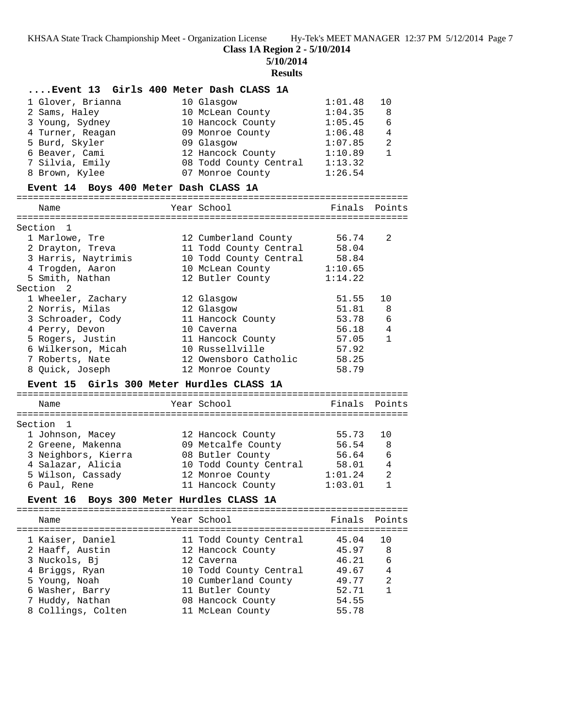**5/10/2014**

### **Results**

### **....Event 13 Girls 400 Meter Dash CLASS 1A**

| 1 Glover, Brianna | 10 Glasgow             | 1:01.48 | 10             |
|-------------------|------------------------|---------|----------------|
| 2 Sams, Haley     | 10 McLean County       | 1:04.35 | 8              |
| 3 Young, Sydney   | 10 Hancock County      | 1:05.45 | 6              |
| 4 Turner, Reagan  | 09 Monroe County       | 1:06.48 | $\overline{4}$ |
| 5 Burd, Skyler    | 09 Glasgow             | 1:07.85 | $\mathcal{D}$  |
| 6 Beaver, Cami    | 12 Hancock County      | 1:10.89 |                |
| 7 Silvia, Emily   | 08 Todd County Central | 1:13.32 |                |
| 8 Brown, Kylee    | 07 Monroe County       | 1:26.54 |                |

### **Event 14 Boys 400 Meter Dash CLASS 1A**

#### ======================================================================= Finals Point

| name                | rear school            | Finais  | POINTS         |
|---------------------|------------------------|---------|----------------|
| Section 1           |                        |         |                |
| 1 Marlowe, Tre      | 12 Cumberland County   | 56.74   | 2              |
| 2 Drayton, Treva    | 11 Todd County Central | 58.04   |                |
| 3 Harris, Naytrimis | 10 Todd County Central | 58.84   |                |
| 4 Trogden, Aaron    | 10 McLean County       | 1:10.65 |                |
| 5 Smith, Nathan     | 12 Butler County       | 1:14.22 |                |
| Section 2           |                        |         |                |
| 1 Wheeler, Zachary  | 12 Glasgow             | 51.55   | 10             |
| 2 Norris, Milas     | 12 Glasgow             | 51.81   | - 8            |
| 3 Schroader, Cody   | 11 Hancock County      | 53.78   | 6              |
| 4 Perry, Devon      | 10 Caverna             | 56.18   | $\overline{4}$ |
| 5 Rogers, Justin    | 11 Hancock County      | 57.05   | 1              |
| 6 Wilkerson, Micah  | 10 Russellville        | 57.92   |                |
| 7 Roberts, Nate     | 12 Owensboro Catholic  | 58.25   |                |

### **Event 15 Girls 300 Meter Hurdles CLASS 1A**

| Finals Points             | Year School            | Name                |
|---------------------------|------------------------|---------------------|
|                           |                        | Section 1           |
| 55.73<br>1 O              | 12 Hancock County      | 1 Johnson, Macey    |
| 56.54<br>8                | 09 Metcalfe County     | 2 Greene, Makenna   |
| 6<br>56.64                | 08 Butler County       | 3 Neighbors, Kierra |
| 58.01<br>4                | 10 Todd County Central | 4 Salazar, Alicia   |
| $\mathfrak{D}$<br>1:01.24 | 12 Monroe County       | 5 Wilson, Cassady   |
| 1:03.01                   | 11 Hancock County      | 6 Paul, Rene        |
|                           |                        |                     |

8 Quick, Joseph 12 Monroe County 58.79

### **Event 16 Boys 300 Meter Hurdles CLASS 1A**

| Name                                | Year School                                 | Finals Points  |                |
|-------------------------------------|---------------------------------------------|----------------|----------------|
| 1 Kaiser, Daniel<br>2 Haaff, Austin | 11 Todd County Central<br>12 Hancock County | 45.04<br>45.97 | 8              |
| 3 Nuckols, Bi                       | 12 Caverna                                  | 46.21          | 6              |
| 4 Briggs, Ryan                      | 10 Todd County Central                      | 49.67          | $\overline{4}$ |
| 5 Young, Noah                       | 10 Cumberland County                        | 49.77          | $\mathfrak{D}$ |
| 6 Washer, Barry                     | 11 Butler County                            | 52.71          | 1              |
| 7 Huddy, Nathan                     | 08 Hancock County                           | 54.55          |                |
| 8 Collings, Colten                  | 11 McLean County                            | 55.78          |                |
|                                     |                                             |                |                |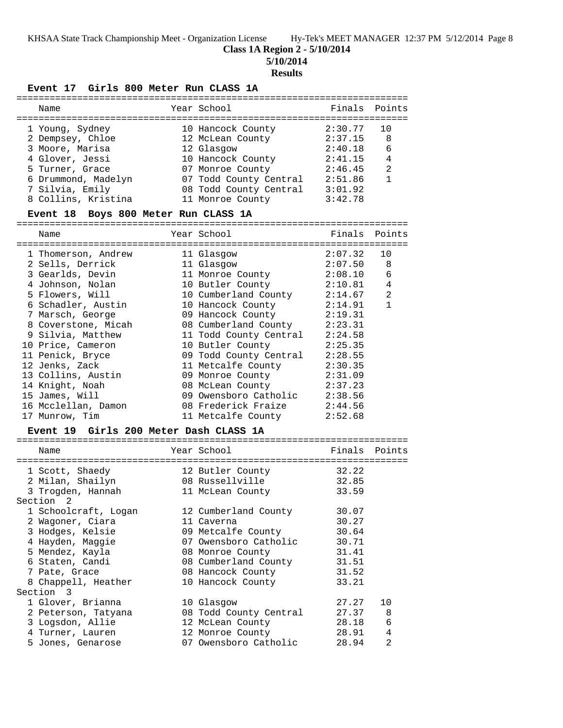### **Class 1A Region 2 - 5/10/2014**

**5/10/2014**

#### **Results**

#### **Event 17 Girls 800 Meter Run CLASS 1A**

| Name                | Year School            | Finals Points |    |
|---------------------|------------------------|---------------|----|
| 1 Young, Sydney     | 10 Hancock County      | 2:30.77       | 10 |
| 2 Dempsey, Chloe    | 12 McLean County       | 2:37.15       | 8  |
| 3 Moore, Marisa     | 12 Glasgow             | 2:40.18       | 6  |
| 4 Glover, Jessi     | 10 Hancock County      | 2:41.15       | 4  |
| 5 Turner, Grace     | 07 Monroe County       | 2:46.45       | 2  |
| 6 Drummond, Madelyn | 07 Todd County Central | 2:51.86       |    |
| 7 Silvia, Emily     | 08 Todd County Central | 3:01.92       |    |
| 8 Collins, Kristina | 11 Monroe County       | 3:42.78       |    |
|                     |                        |               |    |

#### **Event 18 Boys 800 Meter Run CLASS 1A**

======================================================================= Name **Name** Year School **Finals Points** ======================================================================= 1 Thomerson, Andrew 11 Glasgow 2:07.32 10 2 Sells, Derrick 11 Glasgow 2:07.50 8 3 Gearlds, Devin 11 Monroe County 2:08.10 6 4 Johnson, Nolan 10 Butler County 2:10.81 4 5 Flowers, Will 10 Cumberland County 2:14.67 2 6 Schadler, Austin 10 Hancock County 2:14.91 1 7 Marsch, George 09 Hancock County 2:19.31 8 Coverstone, Micah 08 Cumberland County 2:23.31 9 Silvia, Matthew 11 Todd County Central 2:24.58 10 Price, Cameron 10 Butler County 2:25.35 11 Penick, Bryce 09 Todd County Central 2:28.55 12 Jenks, Zack 11 Metcalfe County 2:30.35 13 Collins, Austin 09 Monroe County 2:31.09 14 Knight, Noah 08 McLean County 2:37.23 15 James, Will 09 Owensboro Catholic 2:38.56 16 Mcclellan, Damon 08 Frederick Fraize 2:44.56 17 Munrow, Tim 11 Metcalfe County 2:52.68

#### **Event 19 Girls 200 Meter Dash CLASS 1A** =======================================================================

| Name                 | Year School            | Finals Points |                |
|----------------------|------------------------|---------------|----------------|
| 1 Scott, Shaedy      | 12 Butler County       | 32.22         |                |
| 2 Milan, Shailyn     | 08 Russellville        | 32.85         |                |
| 3 Trogden, Hannah    | 11 McLean County       | 33.59         |                |
| Section 2            |                        |               |                |
| 1 Schoolcraft, Logan | 12 Cumberland County   | 30.07         |                |
| 2 Wagoner, Ciara     | 11 Caverna             | 30.27         |                |
| 3 Hodges, Kelsie     | 09 Metcalfe County     | 30.64         |                |
| 4 Hayden, Maggie     | 07 Owensboro Catholic  | 30.71         |                |
| 5 Mendez, Kayla      | 08 Monroe County       | 31.41         |                |
| 6 Staten, Candi      | 08 Cumberland County   | 31.51         |                |
| 7 Pate, Grace        | 08 Hancock County      | 31.52         |                |
| 8 Chappell, Heather  | 10 Hancock County      | 33.21         |                |
| Section 3            |                        |               |                |
| 1 Glover, Brianna    | 10 Glasgow             | 27.27         | 10             |
| 2 Peterson, Tatyana  | 08 Todd County Central | 27.37         | 8              |
| 3 Logsdon, Allie     | 12 McLean County       | 28.18         | 6              |
| 4 Turner, Lauren     | 12 Monroe County       | 28.91         | 4              |
| 5 Jones, Genarose    | 07 Owensboro Catholic  | 28.94         | $\overline{2}$ |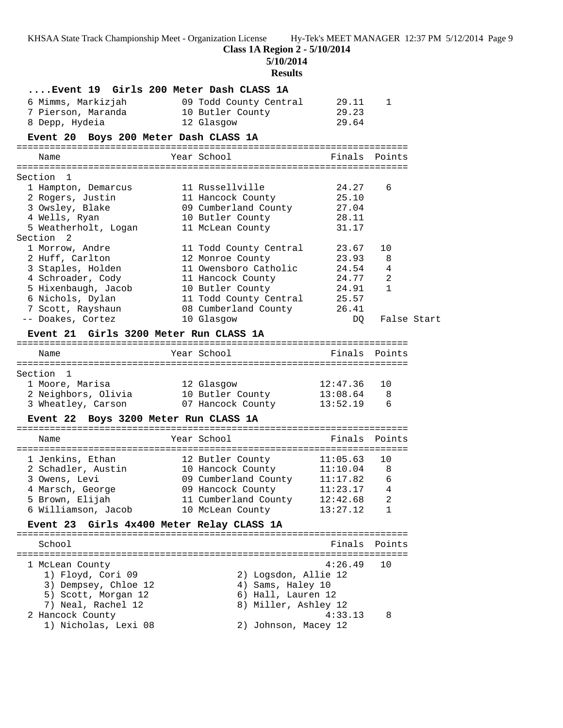**Class 1A Region 2 - 5/10/2014**

**5/10/2014**

|                                           | <b>Results</b>                                 |               |              |             |
|-------------------------------------------|------------------------------------------------|---------------|--------------|-------------|
|                                           | Event 19 Girls 200 Meter Dash CLASS 1A         |               |              |             |
| 6 Mimms, Markizjah                        | 09 Todd County Central                         | 29.11         | 1            |             |
| 7 Pierson, Maranda                        | 10 Butler County                               | 29.23         |              |             |
| 8 Depp, Hydeia                            | 12 Glasgow                                     | 29.64         |              |             |
| Event 20 Boys 200 Meter Dash CLASS 1A     |                                                |               |              |             |
| Name                                      | Year School                                    | Finals        | Points       |             |
|                                           |                                                |               |              |             |
| Section 1                                 |                                                |               |              |             |
| 1 Hampton, Demarcus                       | 11 Russellville                                | 24.27         | 6            |             |
| 2 Rogers, Justin                          | 11 Hancock County                              | 25.10         |              |             |
| 3 Owsley, Blake                           | 09 Cumberland County                           | 27.04         |              |             |
| 4 Wells, Ryan                             | 10 Butler County                               | 28.11         |              |             |
| 5 Weatherholt, Logan                      | 11 McLean County                               | 31.17         |              |             |
| Section 2<br>1 Morrow, Andre              |                                                | 23.67         | 10           |             |
| 2 Huff, Carlton                           | 11 Todd County Central<br>12 Monroe County     | 23.93         | 8            |             |
| 3 Staples, Holden                         | 11 Owensboro Catholic                          | 24.54         | 4            |             |
| 4 Schroader, Cody                         | 11 Hancock County                              | 24.77         | 2            |             |
| 5 Hixenbaugh, Jacob                       | 10 Butler County                               | 24.91         | $\mathbf{1}$ |             |
| 6 Nichols, Dylan                          | 11 Todd County Central                         | 25.57         |              |             |
| 7 Scott, Rayshaun                         | 08 Cumberland County                           | 26.41         |              |             |
| -- Doakes, Cortez                         | 10 Glasgow                                     | DQ            |              | False Start |
| Event 21 Girls 3200 Meter Run CLASS 1A    |                                                |               |              |             |
|                                           |                                                |               |              |             |
| Name                                      | Year School                                    | Finals Points |              |             |
|                                           |                                                |               |              |             |
| Section 1                                 |                                                |               |              |             |
| 1 Moore, Marisa                           | 12 Glasgow                                     | 12:47.36      | 10           |             |
| 2 Neighbors, Olivia                       | 10 Butler County                               | 13:08.64      | - 8<br>6     |             |
| 3 Wheatley, Carson                        | 07 Hancock County                              | 13:52.19      |              |             |
| Event 22 Boys 3200 Meter Run CLASS 1A     |                                                |               |              |             |
| Name                                      | Year School                                    | Finals Points |              |             |
|                                           |                                                |               |              |             |
| 1 Jenkins, Ethan                          | 12 Butler County<br>10 Hancock County 11:10.04 | 11:05.63      | 10           |             |
| 2 Schadler, Austin<br>3 Owens, Levi       | 09 Cumberland County 11:17.82                  |               | 8            |             |
|                                           | 09 Hancock County                              | 11:23.17      | 6<br>4       |             |
| 4 Marsch, George<br>5 Brown, Elijah       | 11 Cumberland County                           | 12:42.68      | 2            |             |
| 6 Williamson, Jacob                       | 10 McLean County                               | 13:27.12      | $\mathbf{1}$ |             |
|                                           |                                                |               |              |             |
| Event 23 Girls 4x400 Meter Relay CLASS 1A |                                                |               |              |             |
| School                                    |                                                | Finals        | Points       |             |
| 1 McLean County                           |                                                | 4:26.49       | 10           |             |
| 1) Floyd, Cori 09                         | 2) Logsdon, Allie 12                           |               |              |             |
| 3) Dempsey, Chloe 12                      | 4) Sams, Haley 10                              |               |              |             |
| 5) Scott, Morgan 12                       | 6) Hall, Lauren 12                             |               |              |             |
| 7) Neal, Rachel 12                        | 8) Miller, Ashley 12                           |               |              |             |
| 2 Hancock County                          |                                                | 4:33.13       | 8            |             |
| 1) Nicholas, Lexi 08                      | 2) Johnson, Macey 12                           |               |              |             |
|                                           |                                                |               |              |             |